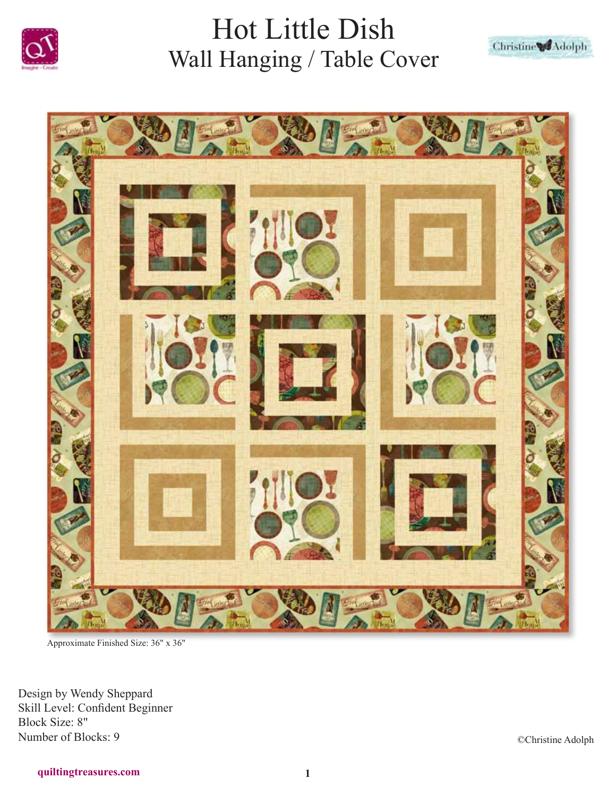





Approximate Finished Size: 36" x 36"

Design by Wendy Sheppard Skill Level: Confident Beginner Block Size: 8" Number of Blocks: 9 ©Christine Adolph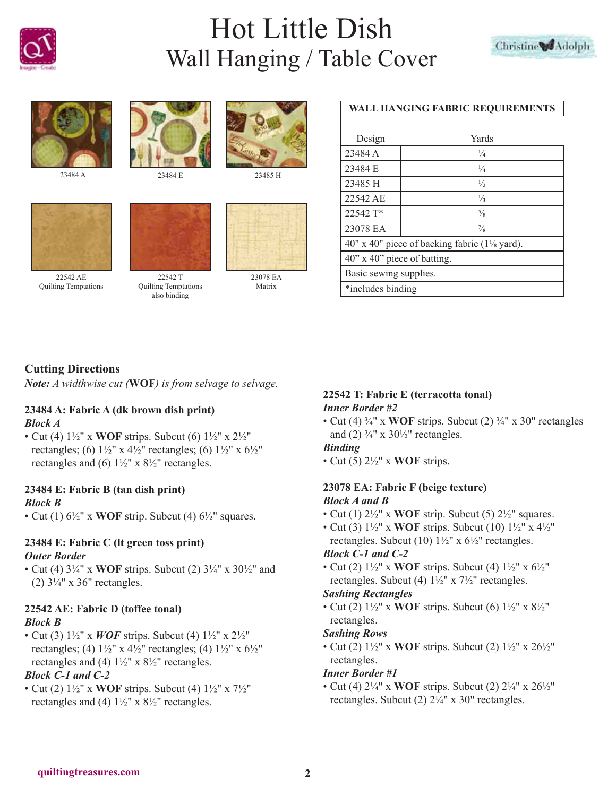







22542 AE Quilting Temptations



23484 A 23484 E 23485 H



22542 T Quilting Temptations also binding





23078 EA Matrix

### **WALL HANGING FABRIC REQUIREMENTS**

| Design                                                   | Yards         |
|----------------------------------------------------------|---------------|
| 23484 A                                                  | $\frac{1}{4}$ |
| 23484 E                                                  | $\frac{1}{4}$ |
| 23485 H                                                  | $\frac{1}{2}$ |
| 22542 AE                                                 | $\frac{1}{3}$ |
| 22542 T*                                                 | $\frac{5}{8}$ |
| 23078 EA                                                 | $\frac{7}{8}$ |
| 40" x 40" piece of backing fabric $(1\frac{1}{8}$ yard). |               |
| $40$ " x $40$ " piece of batting.                        |               |
| Basic sewing supplies.                                   |               |
| *includes binding                                        |               |

# **Cutting Directions**

*Note: A widthwise cut (***WOF***) is from selvage to selvage.*

#### **23484 A: Fabric A (dk brown dish print)** *Block A*

• Cut (4) 1½" x **WOF** strips. Subcut (6) 1½" x 2½" rectangles; (6)  $1\frac{1}{2}$ " x  $4\frac{1}{2}$ " rectangles; (6)  $1\frac{1}{2}$ " x  $6\frac{1}{2}$ " rectangles and (6)  $1\frac{1}{2}$ " x  $8\frac{1}{2}$ " rectangles.

#### **23484 E: Fabric B (tan dish print)** *Block B*

• Cut (1)  $6\frac{1}{2}$ " x **WOF** strip. Subcut (4)  $6\frac{1}{2}$ " squares.

#### **23484 E: Fabric C (lt green toss print)** *Outer Border*

• Cut (4) 3¼" x **WOF** strips. Subcut (2) 3¼" x 30½" and (2)  $3\frac{1}{4}$ " x 36" rectangles.

#### **22542 AE: Fabric D (toffee tonal)** *Block B*

• Cut (3)  $1\frac{1}{2}$ " x *WOF* strips. Subcut (4)  $1\frac{1}{2}$ " x  $2\frac{1}{2}$ " rectangles; (4)  $1\frac{1}{2}$ " x  $4\frac{1}{2}$ " rectangles; (4)  $1\frac{1}{2}$ " x  $6\frac{1}{2}$ " rectangles and (4)  $1\frac{1}{2}$ " x  $8\frac{1}{2}$ " rectangles.

## *Block C-1 and C-2*

• Cut (2) 1½" x **WOF** strips. Subcut (4) 1½" x 7½" rectangles and (4)  $1\frac{1}{2}$ " x  $8\frac{1}{2}$ " rectangles.

### **22542 T: Fabric E (terracotta tonal)** *Inner Border #2*

• Cut (4)  $\frac{3}{4}$ " x **WOF** strips. Subcut (2)  $\frac{3}{4}$ " x 30" rectangles and (2)  $\frac{3}{4}$ " x  $\frac{30}{2}$ " rectangles.

#### *Binding*

• Cut (5) 2½" x **WOF** strips.

#### **23078 EA: Fabric F (beige texture)** *Block A and B*

- Cut (1) 2½" x **WOF** strip. Subcut (5) 2½" squares.
- Cut (3) 1½" x **WOF** strips. Subcut (10) 1½" x 4½" rectangles. Subcut (10)  $1\frac{1}{2}$ " x  $6\frac{1}{2}$ " rectangles.

## *Block C-1 and C-2*

• Cut (2) 1½" x **WOF** strips. Subcut (4) 1½" x 6½" rectangles. Subcut (4) 1½" x 7½" rectangles.

#### *Sashing Rectangles*

• Cut (2) 1½" x **WOF** strips. Subcut (6) 1½" x 8½" rectangles.

#### *Sashing Rows*

• Cut (2) 1½" x **WOF** strips. Subcut (2) 1½" x 26½" rectangles.

#### *Inner Border #1*

• Cut (4) 2¼" x **WOF** strips. Subcut (2) 2¼" x 26½" rectangles. Subcut (2) 2¼" x 30" rectangles.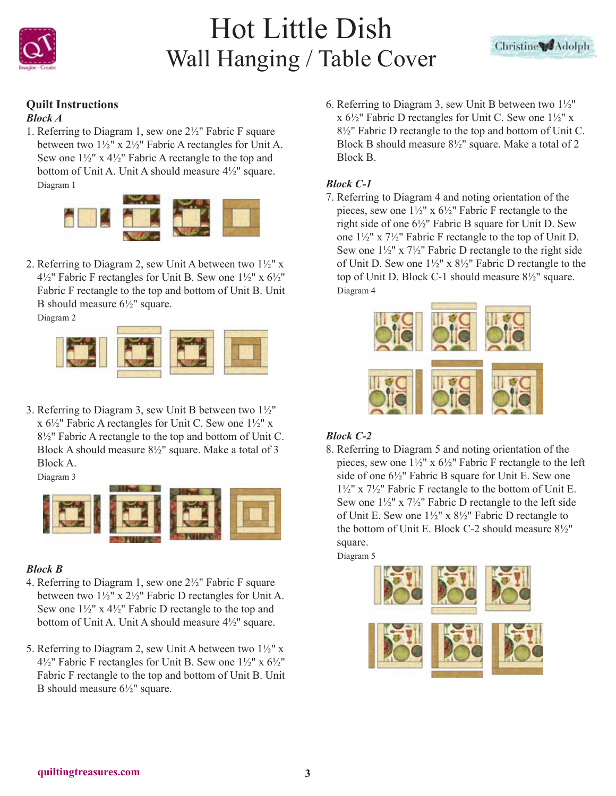



# **Quilt Instructions**

#### *Block A*

1. Referring to Diagram 1, sew one 2½" Fabric F square between two 1½" x 2½" Fabric A rectangles for Unit A. Sew one 1½" x 4½" Fabric A rectangle to the top and bottom of Unit A. Unit A should measure 4½" square. Diagram 1



2. Referring to Diagram 2, sew Unit A between two  $1\frac{1}{2}$ " x  $4\frac{1}{2}$ " Fabric F rectangles for Unit B. Sew one  $1\frac{1}{2}$ " x  $6\frac{1}{2}$ " Fabric F rectangle to the top and bottom of Unit B. Unit B should measure 6½" square.

Diagram 2



3. Referring to Diagram 3, sew Unit B between two  $1\frac{1}{2}$ "  $x 6\frac{1}{2}$ " Fabric A rectangles for Unit C. Sew one  $1\frac{1}{2}$ " x 8½" Fabric A rectangle to the top and bottom of Unit C. Block A should measure 8½" square. Make a total of 3 Block A.

Diagram 3



## *Block B*

- 4. Referring to Diagram 1, sew one 2½" Fabric F square between two 1½" x 2½" Fabric D rectangles for Unit A. Sew one  $1\frac{1}{2}$ " x  $4\frac{1}{2}$ " Fabric D rectangle to the top and bottom of Unit A. Unit A should measure 4½" square.
- 5. Referring to Diagram 2, sew Unit A between two  $1\frac{1}{2}$ " x  $4\frac{1}{2}$ " Fabric F rectangles for Unit B. Sew one  $1\frac{1}{2}$ " x  $6\frac{1}{2}$ " Fabric F rectangle to the top and bottom of Unit B. Unit B should measure 6½" square.

6. Referring to Diagram 3, sew Unit B between two  $1\frac{1}{2}$ " x 6½" Fabric D rectangles for Unit C. Sew one 1½" x 8½" Fabric D rectangle to the top and bottom of Unit C. Block B should measure 8½" square. Make a total of 2 Block B.

### *Block C-1*

7. Referring to Diagram 4 and noting orientation of the pieces, sew one  $1\frac{1}{2}$ " x  $6\frac{1}{2}$ " Fabric F rectangle to the right side of one 6½" Fabric B square for Unit D. Sew one 1½" x 7½" Fabric F rectangle to the top of Unit D. Sew one  $1\frac{1}{2}$ " x  $7\frac{1}{2}$ " Fabric D rectangle to the right side of Unit D. Sew one 1½" x 8½" Fabric D rectangle to the top of Unit D. Block C-1 should measure 8½" square. Diagram 4



## *Block C-2*

8. Referring to Diagram 5 and noting orientation of the pieces, sew one 1½" x 6½" Fabric F rectangle to the left side of one 6½" Fabric B square for Unit E. Sew one 1½" x 7½" Fabric F rectangle to the bottom of Unit E. Sew one 1½" x 7½" Fabric D rectangle to the left side of Unit E. Sew one  $1\frac{1}{2}$ " x  $8\frac{1}{2}$ " Fabric D rectangle to the bottom of Unit E. Block C-2 should measure 8½" square.

Diagram 5